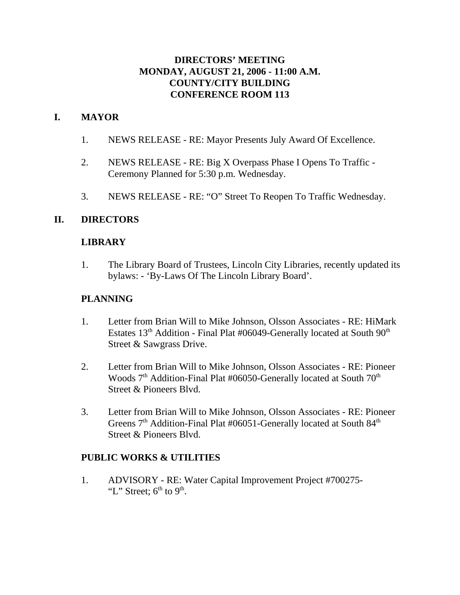### **DIRECTORS' MEETING MONDAY, AUGUST 21, 2006 - 11:00 A.M. COUNTY/CITY BUILDING CONFERENCE ROOM 113**

## **I. MAYOR**

- 1. NEWS RELEASE RE: Mayor Presents July Award Of Excellence.
- 2. NEWS RELEASE RE: Big X Overpass Phase I Opens To Traffic Ceremony Planned for 5:30 p.m. Wednesday.
- 3. NEWS RELEASE RE: "O" Street To Reopen To Traffic Wednesday.

### **II. DIRECTORS**

### **LIBRARY**

1. The Library Board of Trustees, Lincoln City Libraries, recently updated its bylaws: - 'By-Laws Of The Lincoln Library Board'.

#### **PLANNING**

- 1. Letter from Brian Will to Mike Johnson, Olsson Associates RE: HiMark Estates  $13<sup>th</sup>$  Addition - Final Plat #06049-Generally located at South  $90<sup>th</sup>$ Street & Sawgrass Drive.
- 2. Letter from Brian Will to Mike Johnson, Olsson Associates RE: Pioneer Woods  $7<sup>th</sup>$  Addition-Final Plat #06050-Generally located at South  $70<sup>th</sup>$ Street & Pioneers Blvd.
- 3. Letter from Brian Will to Mike Johnson, Olsson Associates RE: Pioneer Greens  $7<sup>th</sup>$  Addition-Final Plat #06051-Generally located at South  $84<sup>th</sup>$ Street & Pioneers Blvd.

### **PUBLIC WORKS & UTILITIES**

1. ADVISORY - RE: Water Capital Improvement Project #700275- "L" Street;  $6<sup>th</sup>$  to  $9<sup>th</sup>$ .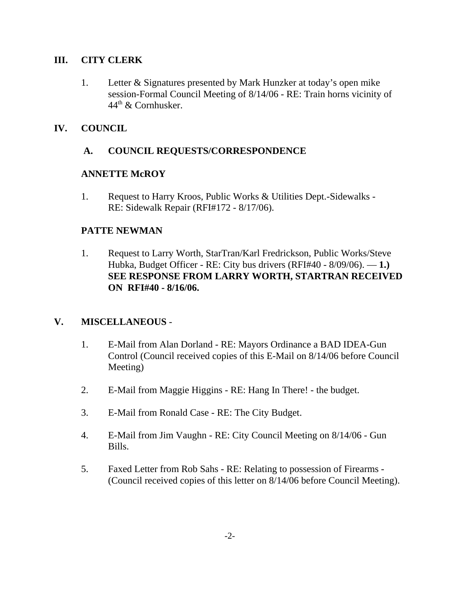### **III. CITY CLERK**

1. Letter & Signatures presented by Mark Hunzker at today's open mike session-Formal Council Meeting of 8/14/06 - RE: Train horns vicinity of  $44<sup>th</sup>$  & Cornhusker.

# **IV. COUNCIL**

## **A. COUNCIL REQUESTS/CORRESPONDENCE**

## **ANNETTE McROY**

1. Request to Harry Kroos, Public Works & Utilities Dept.-Sidewalks - RE: Sidewalk Repair (RFI#172 - 8/17/06).

## **PATTE NEWMAN**

1. Request to Larry Worth, StarTran/Karl Fredrickson, Public Works/Steve Hubka, Budget Officer - RE: City bus drivers (RFI#40 - 8/09/06). — **1.) SEE RESPONSE FROM LARRY WORTH, STARTRAN RECEIVED ON RFI#40 - 8/16/06.** 

# **V. MISCELLANEOUS** -

- 1. E-Mail from Alan Dorland RE: Mayors Ordinance a BAD IDEA-Gun Control (Council received copies of this E-Mail on 8/14/06 before Council Meeting)
- 2. E-Mail from Maggie Higgins RE: Hang In There! the budget.
- 3. E-Mail from Ronald Case RE: The City Budget.
- 4. E-Mail from Jim Vaughn RE: City Council Meeting on 8/14/06 Gun Bills.
- 5. Faxed Letter from Rob Sahs RE: Relating to possession of Firearms (Council received copies of this letter on 8/14/06 before Council Meeting).